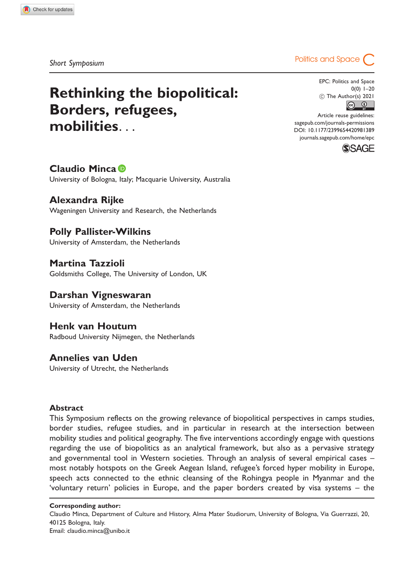# Rethinking the biopolitical: Borders, refugees, mobilities...

# Short Symposium and Space (Short Symposium and Space Control of Space Control of Space Control of Space Control of Space Control of Space Control of Space Control of Space Control of Space Control of Space Control of Space

EPC: Politics and Space 0(0) 1–20  $\circled{c}$  The Author(s) 2021

Article reuse guidelines: [sagepub.com/journals-permissions](http://uk.sagepub.com/en-gb/journals-permissions) [DOI: 10.1177/2399654420981389](http://dx.doi.org/10.1177/2399654420981389) <journals.sagepub.com/home/epc>



## Claudio Minca

University of Bologna, Italy; Macquarie University, Australia

## Alexandra Rijke

Wageningen University and Research, the Netherlands

## Polly Pallister-Wilkins

University of Amsterdam, the Netherlands

Martina Tazzioli Goldsmiths College, The University of London, UK

## Darshan Vigneswaran

University of Amsterdam, the Netherlands

# Henk van Houtum

Radboud University Nijmegen, the Netherlands

## Annelies van Uden

University of Utrecht, the Netherlands

#### **Abstract**

This Symposium reflects on the growing relevance of biopolitical perspectives in camps studies, border studies, refugee studies, and in particular in research at the intersection between mobility studies and political geography. The five interventions accordingly engage with questions regarding the use of biopolitics as an analytical framework, but also as a pervasive strategy and governmental tool in Western societies. Through an analysis of several empirical cases – most notably hotspots on the Greek Aegean Island, refugee's forced hyper mobility in Europe, speech acts connected to the ethnic cleansing of the Rohingya people in Myanmar and the 'voluntary return' policies in Europe, and the paper borders created by visa systems – the

Claudio Minca, Department of Culture and History, Alma Mater Studiorum, University of Bologna, Via Guerrazzi, 20, 40125 Bologna, Italy. Email: claudio.minca@unibo.it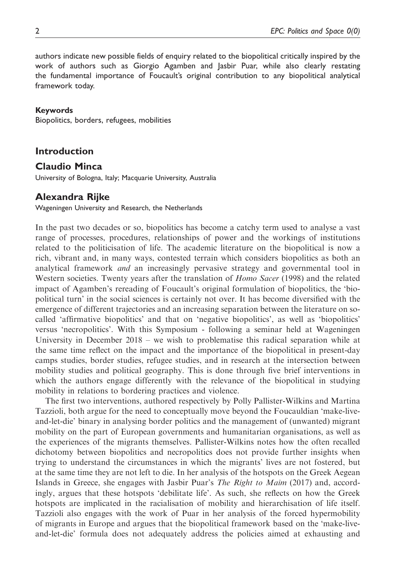authors indicate new possible fields of enquiry related to the biopolitical critically inspired by the work of authors such as Giorgio Agamben and Jasbir Puar, while also clearly restating the fundamental importance of Foucault's original contribution to any biopolitical analytical framework today.

#### Keywords

Biopolitics, borders, refugees, mobilities

#### Introduction

#### Claudio Minca

University of Bologna, Italy; Macquarie University, Australia

#### Alexandra Rijke

Wageningen University and Research, the Netherlands

In the past two decades or so, biopolitics has become a catchy term used to analyse a vast range of processes, procedures, relationships of power and the workings of institutions related to the politicisation of life. The academic literature on the biopolitical is now a rich, vibrant and, in many ways, contested terrain which considers biopolitics as both an analytical framework and an increasingly pervasive strategy and governmental tool in Western societies. Twenty years after the translation of *Homo Sacer* (1998) and the related impact of Agamben's rereading of Foucault's original formulation of biopolitics, the 'biopolitical turn' in the social sciences is certainly not over. It has become diversified with the emergence of different trajectories and an increasing separation between the literature on socalled 'affirmative biopolitics' and that on 'negative biopolitics', as well as 'biopolitics' versus 'necropolitics'. With this Symposium - following a seminar held at Wageningen University in December 2018 – we wish to problematise this radical separation while at the same time reflect on the impact and the importance of the biopolitical in present-day camps studies, border studies, refugee studies, and in research at the intersection between mobility studies and political geography. This is done through five brief interventions in which the authors engage differently with the relevance of the biopolitical in studying mobility in relations to bordering practices and violence.

The first two interventions, authored respectively by Polly Pallister-Wilkins and Martina Tazzioli, both argue for the need to conceptually move beyond the Foucauldian 'make-liveand-let-die' binary in analysing border politics and the management of (unwanted) migrant mobility on the part of European governments and humanitarian organisations, as well as the experiences of the migrants themselves. Pallister-Wilkins notes how the often recalled dichotomy between biopolitics and necropolitics does not provide further insights when trying to understand the circumstances in which the migrants' lives are not fostered, but at the same time they are not left to die. In her analysis of the hotspots on the Greek Aegean Islands in Greece, she engages with Jasbir Puar's The Right to Maim (2017) and, accordingly, argues that these hotspots 'debilitate life'. As such, she reflects on how the Greek hotspots are implicated in the racialisation of mobility and hierarchisation of life itself. Tazzioli also engages with the work of Puar in her analysis of the forced hypermobility of migrants in Europe and argues that the biopolitical framework based on the 'make-liveand-let-die' formula does not adequately address the policies aimed at exhausting and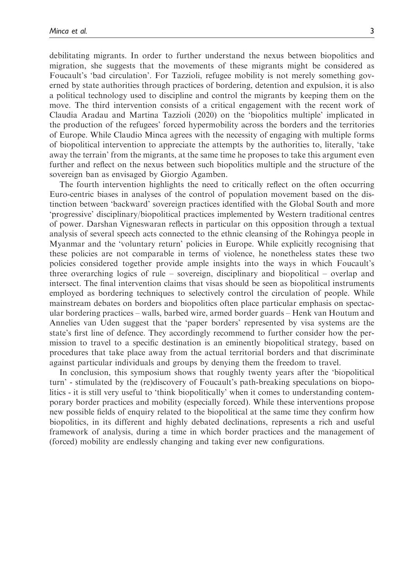debilitating migrants. In order to further understand the nexus between biopolitics and migration, she suggests that the movements of these migrants might be considered as Foucault's 'bad circulation'. For Tazzioli, refugee mobility is not merely something governed by state authorities through practices of bordering, detention and expulsion, it is also a political technology used to discipline and control the migrants by keeping them on the move. The third intervention consists of a critical engagement with the recent work of Claudia Aradau and Martina Tazzioli (2020) on the 'biopolitics multiple' implicated in the production of the refugees' forced hypermobility across the borders and the territories of Europe. While Claudio Minca agrees with the necessity of engaging with multiple forms of biopolitical intervention to appreciate the attempts by the authorities to, literally, 'take away the terrain' from the migrants, at the same time he proposes to take this argument even further and reflect on the nexus between such biopolitics multiple and the structure of the sovereign ban as envisaged by Giorgio Agamben.

The fourth intervention highlights the need to critically reflect on the often occurring Euro-centric biases in analyses of the control of population movement based on the distinction between 'backward' sovereign practices identified with the Global South and more 'progressive' disciplinary/biopolitical practices implemented by Western traditional centres of power. Darshan Vigneswaran reflects in particular on this opposition through a textual analysis of several speech acts connected to the ethnic cleansing of the Rohingya people in Myanmar and the 'voluntary return' policies in Europe. While explicitly recognising that these policies are not comparable in terms of violence, he nonetheless states these two policies considered together provide ample insights into the ways in which Foucault's three overarching logics of rule – sovereign, disciplinary and biopolitical – overlap and intersect. The final intervention claims that visas should be seen as biopolitical instruments employed as bordering techniques to selectively control the circulation of people. While mainstream debates on borders and biopolitics often place particular emphasis on spectacular bordering practices – walls, barbed wire, armed border guards – Henk van Houtum and Annelies van Uden suggest that the 'paper borders' represented by visa systems are the state's first line of defence. They accordingly recommend to further consider how the permission to travel to a specific destination is an eminently biopolitical strategy, based on procedures that take place away from the actual territorial borders and that discriminate against particular individuals and groups by denying them the freedom to travel.

In conclusion, this symposium shows that roughly twenty years after the 'biopolitical turn' - stimulated by the (re)discovery of Foucault's path-breaking speculations on biopolitics - it is still very useful to 'think biopolitically' when it comes to understanding contemporary border practices and mobility (especially forced). While these interventions propose new possible fields of enquiry related to the biopolitical at the same time they confirm how biopolitics, in its different and highly debated declinations, represents a rich and useful framework of analysis, during a time in which border practices and the management of (forced) mobility are endlessly changing and taking ever new configurations.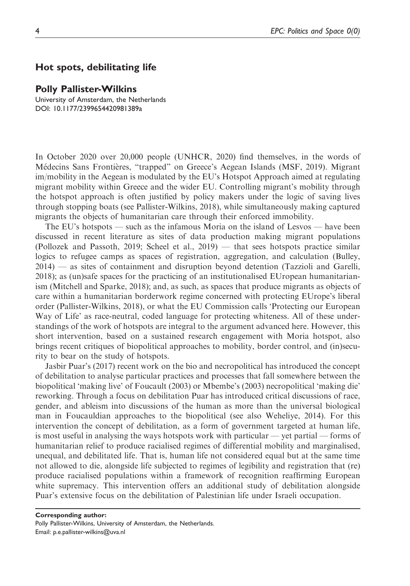#### Hot spots, debilitating life

#### Polly Pallister-Wilkins

University of Amsterdam, the Netherlands DOI: 10.1177/2399654420981389a

In October 2020 over 20,000 people (UNHCR, 2020) find themselves, in the words of Médecins Sans Frontières, "trapped" on Greece's Aegean Islands (MSF, 2019). Migrant im/mobility in the Aegean is modulated by the EU's Hotspot Approach aimed at regulating migrant mobility within Greece and the wider EU. Controlling migrant's mobility through the hotspot approach is often justified by policy makers under the logic of saving lives through stopping boats (see Pallister-Wilkins, 2018), while simultaneously making captured migrants the objects of humanitarian care through their enforced immobility.

The EU's hotspots — such as the infamous Moria on the island of Lesvos — have been discussed in recent literature as sites of data production making migrant populations (Pollozek and Passoth, 2019; Scheel et al., 2019) — that sees hotspots practice similar logics to refugee camps as spaces of registration, aggregation, and calculation (Bulley, 2014) — as sites of containment and disruption beyond detention (Tazzioli and Garelli, 2018); as (un)safe spaces for the practicing of an institutionalised EUropean humanitarianism (Mitchell and Sparke, 2018); and, as such, as spaces that produce migrants as objects of care within a humanitarian borderwork regime concerned with protecting EUrope's liberal order (Pallister-Wilkins, 2018), or what the EU Commission calls 'Protecting our European Way of Life' as race-neutral, coded language for protecting whiteness. All of these understandings of the work of hotspots are integral to the argument advanced here. However, this short intervention, based on a sustained research engagement with Moria hotspot, also brings recent critiques of biopolitical approaches to mobility, border control, and (in)security to bear on the study of hotspots.

Jasbir Puar's (2017) recent work on the bio and necropolitical has introduced the concept of debilitation to analyse particular practices and processes that fall somewhere between the biopolitical 'making live' of Foucault (2003) or Mbembe's (2003) necropolitical 'making die' reworking. Through a focus on debilitation Puar has introduced critical discussions of race, gender, and ableism into discussions of the human as more than the universal biological man in Foucauldian approaches to the biopolitical (see also Weheliye, 2014). For this intervention the concept of debilitation, as a form of government targeted at human life, is most useful in analysing the ways hotspots work with particular — yet partial — forms of humanitarian relief to produce racialised regimes of differential mobility and marginalised, unequal, and debilitated life. That is, human life not considered equal but at the same time not allowed to die, alongside life subjected to regimes of legibility and registration that (re) produce racialised populations within a framework of recognition reaffirming European white supremacy. This intervention offers an additional study of debilitation alongside Puar's extensive focus on the debilitation of Palestinian life under Israeli occupation.

Corresponding author: Polly Pallister-Wilkins, University of Amsterdam, the Netherlands. Email: p.e.pallister-wilkins@uva.nl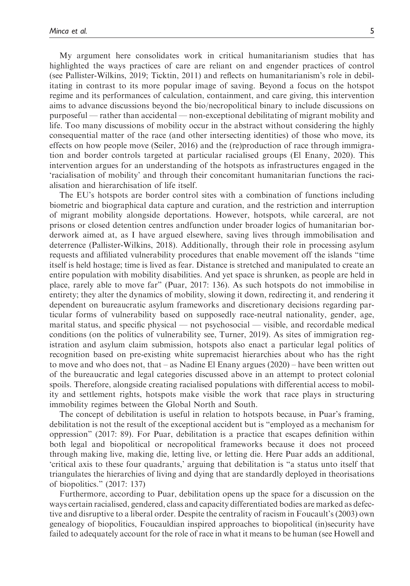My argument here consolidates work in critical humanitarianism studies that has highlighted the ways practices of care are reliant on and engender practices of control (see Pallister-Wilkins, 2019; Ticktin, 2011) and reflects on humanitarianism's role in debilitating in contrast to its more popular image of saving. Beyond a focus on the hotspot regime and its performances of calculation, containment, and care giving, this intervention aims to advance discussions beyond the bio/necropolitical binary to include discussions on purposeful — rather than accidental — non-exceptional debilitating of migrant mobility and life. Too many discussions of mobility occur in the abstract without considering the highly consequential matter of the race (and other intersecting identities) of those who move, its effects on how people move (Seiler, 2016) and the (re)production of race through immigration and border controls targeted at particular racialised groups (El Enany, 2020). This intervention argues for an understanding of the hotspots as infrastructures engaged in the 'racialisation of mobility' and through their concomitant humanitarian functions the racialisation and hierarchisation of life itself.

The EU's hotspots are border control sites with a combination of functions including biometric and biographical data capture and curation, and the restriction and interruption of migrant mobility alongside deportations. However, hotspots, while carceral, are not prisons or closed detention centres andfunction under broader logics of humanitarian borderwork aimed at, as I have argued elsewhere, saving lives through immobilisation and deterrence (Pallister-Wilkins, 2018). Additionally, through their role in processing asylum requests and affiliated vulnerability procedures that enable movement off the islands "time itself is held hostage; time is lived as fear. Distance is stretched and manipulated to create an entire population with mobility disabilities. And yet space is shrunken, as people are held in place, rarely able to move far" (Puar, 2017: 136). As such hotspots do not immobilise in entirety; they alter the dynamics of mobility, slowing it down, redirecting it, and rendering it dependent on bureaucratic asylum frameworks and discretionary decisions regarding particular forms of vulnerability based on supposedly race-neutral nationality, gender, age, marital status, and specific physical — not psychosocial — visible, and recordable medical conditions (on the politics of vulnerability see, Turner, 2019). As sites of immigration registration and asylum claim submission, hotspots also enact a particular legal politics of recognition based on pre-existing white supremacist hierarchies about who has the right to move and who does not, that – as Nadine El Enany argues (2020) – have been written out of the bureaucratic and legal categories discussed above in an attempt to protect colonial spoils. Therefore, alongside creating racialised populations with differential access to mobility and settlement rights, hotspots make visible the work that race plays in structuring immobility regimes between the Global North and South.

The concept of debilitation is useful in relation to hotspots because, in Puar's framing, debilitation is not the result of the exceptional accident but is "employed as a mechanism for oppression" (2017: 89). For Puar, debilitation is a practice that escapes definition within both legal and biopolitical or necropolitical frameworks because it does not proceed through making live, making die, letting live, or letting die. Here Puar adds an additional, 'critical axis to these four quadrants,' arguing that debilitation is "a status unto itself that triangulates the hierarchies of living and dying that are standardly deployed in theorisations of biopolitics." (2017: 137)

Furthermore, according to Puar, debilitation opens up the space for a discussion on the ways certain racialised, gendered, class and capacity differentiated bodies are marked as defective and disruptive to a liberal order. Despite the centrality of racism in Foucault's (2003) own genealogy of biopolitics, Foucauldian inspired approaches to biopolitical (in)security have failed to adequately account for the role of race in what it means to be human (see Howell and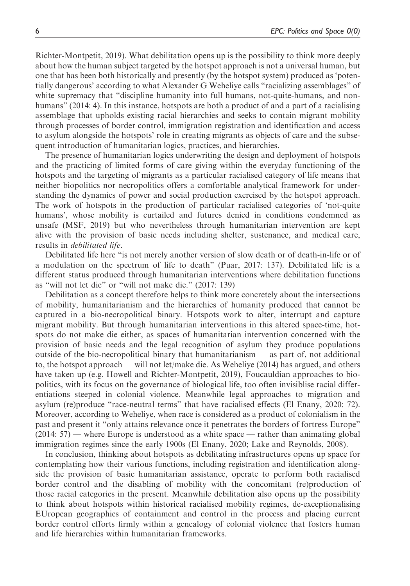Richter-Montpetit, 2019). What debilitation opens up is the possibility to think more deeply about how the human subject targeted by the hotspot approach is not a universal human, but one that has been both historically and presently (by the hotspot system) produced as 'potentially dangerous' according to what Alexander G Weheliye calls "racializing assemblages" of white supremacy that "discipline humanity into full humans, not-quite-humans, and nonhumans" (2014: 4). In this instance, hotspots are both a product of and a part of a racialising assemblage that upholds existing racial hierarchies and seeks to contain migrant mobility through processes of border control, immigration registration and identification and access to asylum alongside the hotspots' role in creating migrants as objects of care and the subsequent introduction of humanitarian logics, practices, and hierarchies.

The presence of humanitarian logics underwriting the design and deployment of hotspots and the practicing of limited forms of care giving within the everyday functioning of the hotspots and the targeting of migrants as a particular racialised category of life means that neither biopolitics nor necropolitics offers a comfortable analytical framework for understanding the dynamics of power and social production exercised by the hotspot approach. The work of hotspots in the production of particular racialised categories of 'not-quite humans', whose mobility is curtailed and futures denied in conditions condemned as unsafe (MSF, 2019) but who nevertheless through humanitarian intervention are kept alive with the provision of basic needs including shelter, sustenance, and medical care, results in debilitated life.

Debilitated life here "is not merely another version of slow death or of death-in-life or of a modulation on the spectrum of life to death" (Puar, 2017: 137). Debilitated life is a different status produced through humanitarian interventions where debilitation functions as "will not let die" or "will not make die." (2017: 139)

Debilitation as a concept therefore helps to think more concretely about the intersections of mobility, humanitarianism and the hierarchies of humanity produced that cannot be captured in a bio-necropolitical binary. Hotspots work to alter, interrupt and capture migrant mobility. But through humanitarian interventions in this altered space-time, hotspots do not make die either, as spaces of humanitarian intervention concerned with the provision of basic needs and the legal recognition of asylum they produce populations outside of the bio-necropolitical binary that humanitarianism — as part of, not additional to, the hotspot approach — will not let/make die. As Weheliye (2014) has argued, and others have taken up (e.g. Howell and Richter-Montpetit, 2019), Foucauldian approaches to biopolitics, with its focus on the governance of biological life, too often invisiblise racial differentiations steeped in colonial violence. Meanwhile legal approaches to migration and asylum (re)produce "race-neutral terms" that have racialised effects (El Enany, 2020: 72). Moreover, according to Weheliye, when race is considered as a product of colonialism in the past and present it "only attains relevance once it penetrates the borders of fortress Europe" (2014: 57) — where Europe is understood as a white space — rather than animating global immigration regimes since the early 1900s (El Enany, 2020; Lake and Reynolds, 2008).

In conclusion, thinking about hotspots as debilitating infrastructures opens up space for contemplating how their various functions, including registration and identification alongside the provision of basic humanitarian assistance, operate to perform both racialised border control and the disabling of mobility with the concomitant (re)production of those racial categories in the present. Meanwhile debilitation also opens up the possibility to think about hotspots within historical racialised mobility regimes, de-exceptionalising EUropean geographies of containment and control in the process and placing current border control efforts firmly within a genealogy of colonial violence that fosters human and life hierarchies within humanitarian frameworks.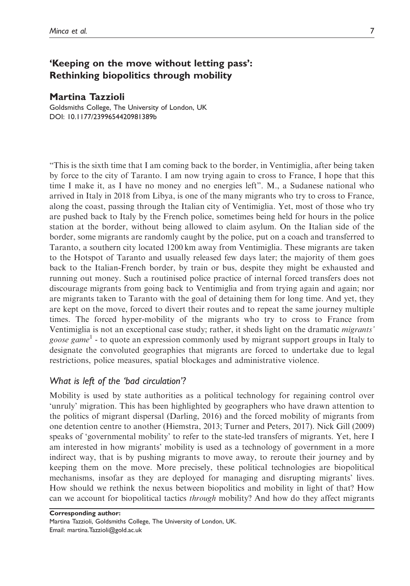## 'Keeping on the move without letting pass': Rethinking biopolitics through mobility

#### Martina Tazzioli

Goldsmiths College, The University of London, UK DOI: 10.1177/2399654420981389b

"This is the sixth time that I am coming back to the border, in Ventimiglia, after being taken by force to the city of Taranto. I am now trying again to cross to France, I hope that this time I make it, as I have no money and no energies left". M., a Sudanese national who arrived in Italy in 2018 from Libya, is one of the many migrants who try to cross to France, along the coast, passing through the Italian city of Ventimiglia. Yet, most of those who try are pushed back to Italy by the French police, sometimes being held for hours in the police station at the border, without being allowed to claim asylum. On the Italian side of the border, some migrants are randomly caught by the police, put on a coach and transferred to Taranto, a southern city located 1200 km away from Ventimiglia. These migrants are taken to the Hotspot of Taranto and usually released few days later; the majority of them goes back to the Italian-French border, by train or bus, despite they might be exhausted and running out money. Such a routinised police practice of internal forced transfers does not discourage migrants from going back to Ventimiglia and from trying again and again; nor are migrants taken to Taranto with the goal of detaining them for long time. And yet, they are kept on the move, forced to divert their routes and to repeat the same journey multiple times. The forced hyper-mobility of the migrants who try to cross to France from Ventimiglia is not an exceptional case study; rather, it sheds light on the dramatic migrants' *goose game*<sup>1</sup> - to quote an expression commonly used by migrant support groups in Italy to designate the convoluted geographies that migrants are forced to undertake due to legal restrictions, police measures, spatial blockages and administrative violence.

## What is left of the 'bad circulation'?

Mobility is used by state authorities as a political technology for regaining control over 'unruly' migration. This has been highlighted by geographers who have drawn attention to the politics of migrant dispersal (Darling, 2016) and the forced mobility of migrants from one detention centre to another (Hiemstra, 2013; Turner and Peters, 2017). Nick Gill (2009) speaks of 'governmental mobility' to refer to the state-led transfers of migrants. Yet, here I am interested in how migrants' mobility is used as a technology of government in a more indirect way, that is by pushing migrants to move away, to reroute their journey and by keeping them on the move. More precisely, these political technologies are biopolitical mechanisms, insofar as they are deployed for managing and disrupting migrants' lives. How should we rethink the nexus between biopolitics and mobility in light of that? How can we account for biopolitical tactics through mobility? And how do they affect migrants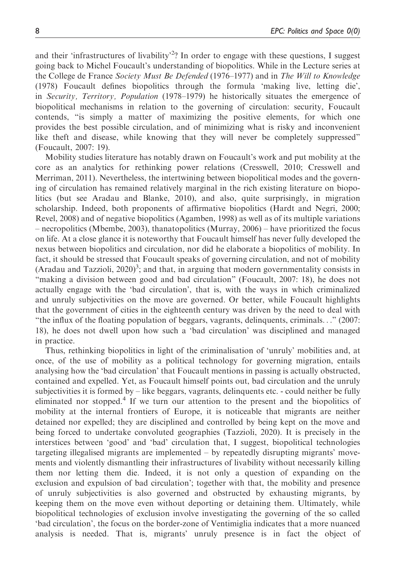and their 'infrastructures of livability<sup>2</sup>? In order to engage with these questions, I suggest going back to Michel Foucault's understanding of biopolitics. While in the Lecture series at the College de France Society Must Be Defended (1976–1977) and in The Will to Knowledge (1978) Foucault defines biopolitics through the formula 'making live, letting die', in *Security, Territory, Population* (1978–1979) he historically situates the emergence of biopolitical mechanisms in relation to the governing of circulation: security, Foucault contends, "is simply a matter of maximizing the positive elements, for which one provides the best possible circulation, and of minimizing what is risky and inconvenient like theft and disease, while knowing that they will never be completely suppressed" (Foucault, 2007: 19).

Mobility studies literature has notably drawn on Foucault's work and put mobility at the core as an analytics for rethinking power relations (Cresswell, 2010; Cresswell and Merriman, 2011). Nevertheless, the intertwining between biopolitical modes and the governing of circulation has remained relatively marginal in the rich existing literature on biopolitics (but see Aradau and Blanke, 2010), and also, quite surprisingly, in migration scholarship. Indeed, both proponents of affirmative biopolitics (Hardt and Negri, 2000; Revel, 2008) and of negative biopolitics (Agamben, 1998) as well as of its multiple variations – necropolitics (Mbembe, 2003), thanatopolitics (Murray, 2006) – have prioritized the focus on life. At a close glance it is noteworthy that Foucault himself has never fully developed the nexus between biopolitics and circulation, nor did he elaborate a biopolitics of mobility. In fact, it should be stressed that Foucault speaks of governing circulation, and not of mobility (Aradau and Tazzioli,  $2020$ <sup>3</sup>; and that, in arguing that modern governmentality consists in "making a division between good and bad circulation" (Foucault, 2007: 18), he does not actually engage with the 'bad circulation', that is, with the ways in which criminalized and unruly subjectivities on the move are governed. Or better, while Foucault highlights that the government of cities in the eighteenth century was driven by the need to deal with "the influx of the floating population of beggars, vagrants, delinquents, criminals..." (2007: 18), he does not dwell upon how such a 'bad circulation' was disciplined and managed in practice.

Thus, rethinking biopolitics in light of the criminalisation of 'unruly' mobilities and, at once, of the use of mobility as a political technology for governing migration, entails analysing how the 'bad circulation' that Foucault mentions in passing is actually obstructed, contained and expelled. Yet, as Foucault himself points out, bad circulation and the unruly subjectivities it is formed by – like beggars, vagrants, delinquents etc. - could neither be fully eliminated nor stopped.<sup>4</sup> If we turn our attention to the present and the biopolitics of mobility at the internal frontiers of Europe, it is noticeable that migrants are neither detained nor expelled; they are disciplined and controlled by being kept on the move and being forced to undertake convoluted geographies (Tazzioli, 2020). It is precisely in the interstices between 'good' and 'bad' circulation that, I suggest, biopolitical technologies targeting illegalised migrants are implemented – by repeatedly disrupting migrants' movements and violently dismantling their infrastructures of livability without necessarily killing them nor letting them die. Indeed, it is not only a question of expanding on the exclusion and expulsion of bad circulation'; together with that, the mobility and presence of unruly subjectivities is also governed and obstructed by exhausting migrants, by keeping them on the move even without deporting or detaining them. Ultimately, while biopolitical technologies of exclusion involve investigating the governing of the so called 'bad circulation', the focus on the border-zone of Ventimiglia indicates that a more nuanced analysis is needed. That is, migrants' unruly presence is in fact the object of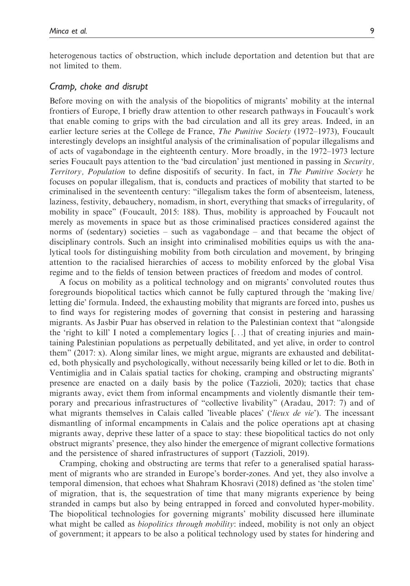heterogenous tactics of obstruction, which include deportation and detention but that are not limited to them.

#### Cramp, choke and disrupt

Before moving on with the analysis of the biopolitics of migrants' mobility at the internal frontiers of Europe, I briefly draw attention to other research pathways in Foucault's work that enable coming to grips with the bad circulation and all its grey areas. Indeed, in an earlier lecture series at the College de France, The Punitive Society (1972–1973), Foucault interestingly develops an insightful analysis of the criminalisation of popular illegalisms and of acts of vagabondage in the eighteenth century. More broadly, in the 1972–1973 lecture series Foucault pays attention to the 'bad circulation' just mentioned in passing in Security, Territory, Population to define dispositifs of security. In fact, in The Punitive Society he focuses on popular illegalism, that is, conducts and practices of mobility that started to be criminalised in the seventeenth century: "illegalism takes the form of absenteeism, lateness, laziness, festivity, debauchery, nomadism, in short, everything that smacks of irregularity, of mobility in space" (Foucault, 2015: 188). Thus, mobility is approached by Foucault not merely as movements in space but as those criminalised practices considered against the norms of (sedentary) societies – such as vagabondage – and that became the object of disciplinary controls. Such an insight into criminalised mobilities equips us with the analytical tools for distinguishing mobility from both circulation and movement, by bringing attention to the racialised hierarchies of access to mobility enforced by the global Visa regime and to the fields of tension between practices of freedom and modes of control.

A focus on mobility as a political technology and on migrants' convoluted routes thus foregrounds biopolitical tactics which cannot be fully captured through the 'making live/ letting die' formula. Indeed, the exhausting mobility that migrants are forced into, pushes us to find ways for registering modes of governing that consist in pestering and harassing migrants. As Jasbir Puar has observed in relation to the Palestinian context that "alongside the 'right to kill' I noted a complementary logics  $[\ldots]$  that of creating injuries and maintaining Palestinian populations as perpetually debilitated, and yet alive, in order to control them" (2017: x). Along similar lines, we might argue, migrants are exhausted and debilitated, both physically and psychologically, without necessarily being killed or let to die. Both in Ventimiglia and in Calais spatial tactics for choking, cramping and obstructing migrants' presence are enacted on a daily basis by the police (Tazzioli, 2020); tactics that chase migrants away, evict them from informal encampments and violently dismantle their temporary and precarious infrastructures of "collective livability" (Aradau, 2017: 7) and of what migrants themselves in Calais called 'liveable places' ('*lieux de vie*'). The incessant dismantling of informal encampments in Calais and the police operations apt at chasing migrants away, deprive these latter of a space to stay: these biopolitical tactics do not only obstruct migrants' presence, they also hinder the emergence of migrant collective formations and the persistence of shared infrastructures of support (Tazzioli, 2019).

Cramping, choking and obstructing are terms that refer to a generalised spatial harassment of migrants who are stranded in Europe's border-zones. And yet, they also involve a temporal dimension, that echoes what Shahram Khosravi (2018) defined as 'the stolen time' of migration, that is, the sequestration of time that many migrants experience by being stranded in camps but also by being entrapped in forced and convoluted hyper-mobility. The biopolitical technologies for governing migrants' mobility discussed here illuminate what might be called as *biopolitics through mobility*: indeed, mobility is not only an object of government; it appears to be also a political technology used by states for hindering and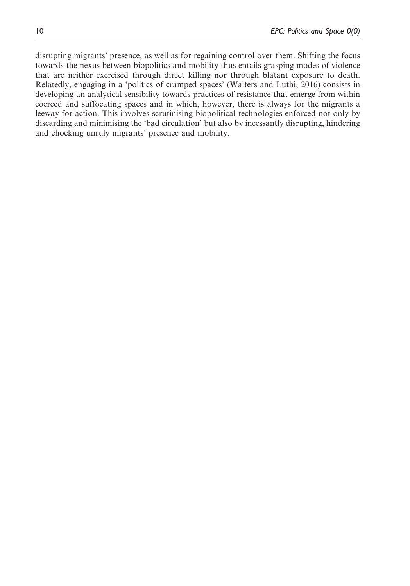disrupting migrants' presence, as well as for regaining control over them. Shifting the focus towards the nexus between biopolitics and mobility thus entails grasping modes of violence that are neither exercised through direct killing nor through blatant exposure to death. Relatedly, engaging in a 'politics of cramped spaces' (Walters and Luthi, 2016) consists in developing an analytical sensibility towards practices of resistance that emerge from within coerced and suffocating spaces and in which, however, there is always for the migrants a leeway for action. This involves scrutinising biopolitical technologies enforced not only by discarding and minimising the 'bad circulation' but also by incessantly disrupting, hindering and chocking unruly migrants' presence and mobility.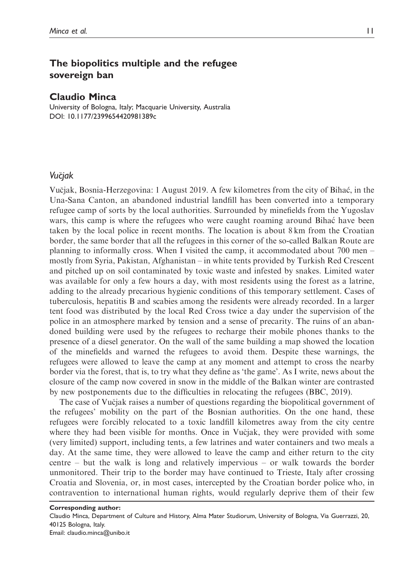## The biopolitics multiple and the refugee sovereign ban

#### Claudio Minca

University of Bologna, Italy; Macquarie University, Australia DOI: 10.1177/2399654420981389c

#### Vučjak

Vučjak, Bosnia-Herzegovina: 1 August 2019. A few kilometres from the city of Bihać, in the Una-Sana Canton, an abandoned industrial landfill has been converted into a temporary refugee camp of sorts by the local authorities. Surrounded by minefields from the Yugoslav wars, this camp is where the refugees who were caught roaming around Bihać have been taken by the local police in recent months. The location is about 8 km from the Croatian border, the same border that all the refugees in this corner of the so-called Balkan Route are planning to informally cross. When I visited the camp, it accommodated about 700 men – mostly from Syria, Pakistan, Afghanistan – in white tents provided by Turkish Red Crescent and pitched up on soil contaminated by toxic waste and infested by snakes. Limited water was available for only a few hours a day, with most residents using the forest as a latrine, adding to the already precarious hygienic conditions of this temporary settlement. Cases of tuberculosis, hepatitis B and scabies among the residents were already recorded. In a larger tent food was distributed by the local Red Cross twice a day under the supervision of the police in an atmosphere marked by tension and a sense of precarity. The ruins of an abandoned building were used by the refugees to recharge their mobile phones thanks to the presence of a diesel generator. On the wall of the same building a map showed the location of the minefields and warned the refugees to avoid them. Despite these warnings, the refugees were allowed to leave the camp at any moment and attempt to cross the nearby border via the forest, that is, to try what they define as 'the game'. As I write, news about the closure of the camp now covered in snow in the middle of the Balkan winter are contrasted by new postponements due to the difficulties in relocating the refugees (BBC, 2019).

The case of Vucjak raises a number of questions regarding the biopolitical government of the refugees' mobility on the part of the Bosnian authorities. On the one hand, these refugees were forcibly relocated to a toxic landfill kilometres away from the city centre where they had been visible for months. Once in Vučjak, they were provided with some (very limited) support, including tents, a few latrines and water containers and two meals a day. At the same time, they were allowed to leave the camp and either return to the city centre – but the walk is long and relatively impervious – or walk towards the border unmonitored. Their trip to the border may have continued to Trieste, Italy after crossing Croatia and Slovenia, or, in most cases, intercepted by the Croatian border police who, in contravention to international human rights, would regularly deprive them of their few

Claudio Minca, Department of Culture and History, Alma Mater Studiorum, University of Bologna, Via Guerrazzi, 20, 40125 Bologna, Italy. Email: claudio.minca@unibo.it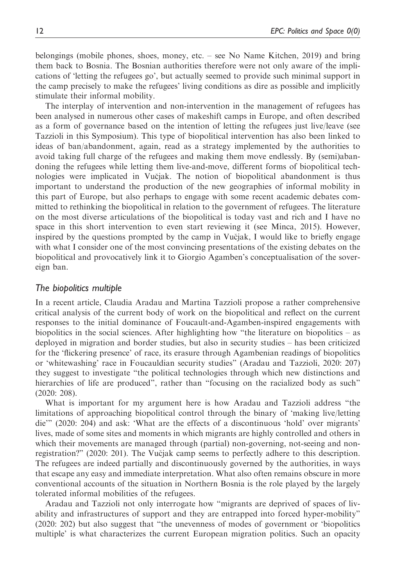belongings (mobile phones, shoes, money, etc. – see No Name Kitchen, 2019) and bring them back to Bosnia. The Bosnian authorities therefore were not only aware of the implications of 'letting the refugees go', but actually seemed to provide such minimal support in the camp precisely to make the refugees' living conditions as dire as possible and implicitly stimulate their informal mobility.

The interplay of intervention and non-intervention in the management of refugees has been analysed in numerous other cases of makeshift camps in Europe, and often described as a form of governance based on the intention of letting the refugees just live/leave (see Tazzioli in this Symposium). This type of biopolitical intervention has also been linked to ideas of ban/abandonment, again, read as a strategy implemented by the authorities to avoid taking full charge of the refugees and making them move endlessly. By (semi)abandoning the refugees while letting them live-and-move, different forms of biopolitical technologies were implicated in Vucjak. The notion of biopolitical abandonment is thus important to understand the production of the new geographies of informal mobility in this part of Europe, but also perhaps to engage with some recent academic debates committed to rethinking the biopolitical in relation to the government of refugees. The literature on the most diverse articulations of the biopolitical is today vast and rich and I have no space in this short intervention to even start reviewing it (see Minca, 2015). However, inspired by the questions prompted by the camp in Vucjak, I would like to briefly engage with what I consider one of the most convincing presentations of the existing debates on the biopolitical and provocatively link it to Giorgio Agamben's conceptualisation of the sovereign ban.

#### The biopolitics multiple

In a recent article, Claudia Aradau and Martina Tazzioli propose a rather comprehensive critical analysis of the current body of work on the biopolitical and reflect on the current responses to the initial dominance of Foucault-and-Agamben-inspired engagements with biopolitics in the social sciences. After highlighting how "the literature on biopolitics – as deployed in migration and border studies, but also in security studies – has been criticized for the 'flickering presence' of race, its erasure through Agambenian readings of biopolitics or 'whitewashing' race in Foucauldian security studies" (Aradau and Tazzioli, 2020: 207) they suggest to investigate "the political technologies through which new distinctions and hierarchies of life are produced", rather than "focusing on the racialized body as such" (2020: 208).

What is important for my argument here is how Aradau and Tazzioli address "the limitations of approaching biopolitical control through the binary of 'making live/letting die'" (2020: 204) and ask: 'What are the effects of a discontinuous 'hold' over migrants' lives, made of some sites and moments in which migrants are highly controlled and others in which their movements are managed through (partial) non-governing, not-seeing and nonregistration?" (2020: 201). The Vucjak camp seems to perfectly adhere to this description. The refugees are indeed partially and discontinuously governed by the authorities, in ways that escape any easy and immediate interpretation. What also often remains obscure in more conventional accounts of the situation in Northern Bosnia is the role played by the largely tolerated informal mobilities of the refugees.

Aradau and Tazzioli not only interrogate how "migrants are deprived of spaces of livability and infrastructures of support and they are entrapped into forced hyper-mobility" (2020: 202) but also suggest that "the unevenness of modes of government or 'biopolitics multiple' is what characterizes the current European migration politics. Such an opacity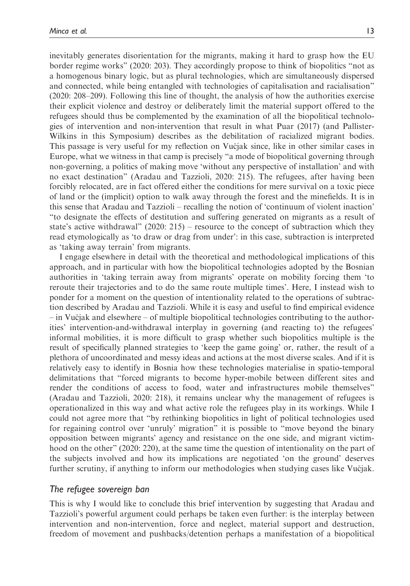inevitably generates disorientation for the migrants, making it hard to grasp how the EU border regime works" (2020: 203). They accordingly propose to think of biopolitics "not as a homogenous binary logic, but as plural technologies, which are simultaneously dispersed and connected, while being entangled with technologies of capitalisation and racialisation" (2020: 208–209). Following this line of thought, the analysis of how the authorities exercise their explicit violence and destroy or deliberately limit the material support offered to the refugees should thus be complemented by the examination of all the biopolitical technologies of intervention and non-intervention that result in what Puar (2017) (and Pallister-Wilkins in this Symposium) describes as the debilitation of racialized migrant bodies. This passage is very useful for my reflection on Vucjak since, like in other similar cases in Europe, what we witness in that camp is precisely "a mode of biopolitical governing through non-governing, a politics of making move 'without any perspective of installation' and with no exact destination" (Aradau and Tazzioli, 2020: 215). The refugees, after having been forcibly relocated, are in fact offered either the conditions for mere survival on a toxic piece of land or the (implicit) option to walk away through the forest and the minefields. It is in this sense that Aradau and Tazzioli – recalling the notion of 'continuum of violent inaction' "to designate the effects of destitution and suffering generated on migrants as a result of state's active withdrawal"  $(2020: 215)$  – resource to the concept of subtraction which they read etymologically as 'to draw or drag from under': in this case, subtraction is interpreted as 'taking away terrain' from migrants.

I engage elsewhere in detail with the theoretical and methodological implications of this approach, and in particular with how the biopolitical technologies adopted by the Bosnian authorities in 'taking terrain away from migrants' operate on mobility forcing them 'to reroute their trajectories and to do the same route multiple times'. Here, I instead wish to ponder for a moment on the question of intentionality related to the operations of subtraction described by Aradau and Tazzioli. While it is easy and useful to find empirical evidence – in Vucjak and elsewhere – of multiple biopolitical technologies contributing to the authorities' intervention-and-withdrawal interplay in governing (and reacting to) the refugees' informal mobilities, it is more difficult to grasp whether such biopolitics multiple is the result of specifically planned strategies to 'keep the game going' or, rather, the result of a plethora of uncoordinated and messy ideas and actions at the most diverse scales. And if it is relatively easy to identify in Bosnia how these technologies materialise in spatio-temporal delimitations that "forced migrants to become hyper-mobile between different sites and render the conditions of access to food, water and infrastructures mobile themselves" (Aradau and Tazzioli, 2020: 218), it remains unclear why the management of refugees is operationalized in this way and what active role the refugees play in its workings. While I could not agree more that "by rethinking biopolitics in light of political technologies used for regaining control over 'unruly' migration" it is possible to "move beyond the binary opposition between migrants' agency and resistance on the one side, and migrant victimhood on the other" (2020: 220), at the same time the question of intentionality on the part of the subjects involved and how its implications are negotiated 'on the ground' deserves further scrutiny, if anything to inform our methodologies when studying cases like Vučjak.

## The refugee sovereign ban

This is why I would like to conclude this brief intervention by suggesting that Aradau and Tazzioli's powerful argument could perhaps be taken even further: is the interplay between intervention and non-intervention, force and neglect, material support and destruction, freedom of movement and pushbacks/detention perhaps a manifestation of a biopolitical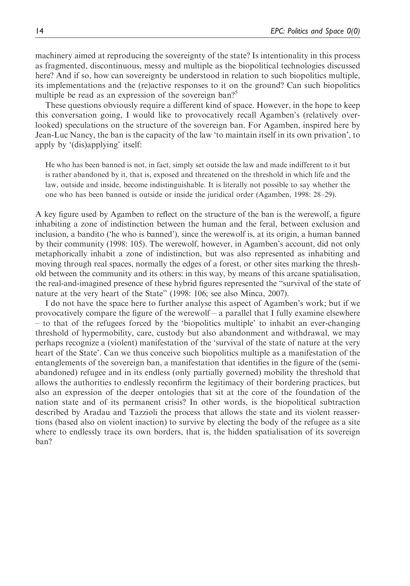machinery aimed at reproducing the sovereignty of the state? Is intentionality in this process as fragmented, discontinuous, messy and multiple as the biopolitical technologies discussed here? And if so, how can sovereignty be understood in relation to such biopolitics multiple, its implementations and the (re)active responses to it on the ground? Can such biopolitics multiple be read as an expression of the sovereign ban?<sup>5</sup>

These questions obviously require a different kind of space. However, in the hope to keep this conversation going, I would like to provocatively recall Agamben's (relatively overlooked) speculations on the structure of the sovereign ban. For Agamben, inspired here by Jean-Luc Nancy, the ban is the capacity of the law 'to maintain itself in its own privation', to apply by '(dis)applying' itself:

He who has been banned is not, in fact, simply set outside the law and made indifferent to it but is rather abandoned by it, that is, exposed and threatened on the threshold in which life and the law, outside and inside, become indistinguishable. It is literally not possible to say whether the one who has been banned is outside or inside the juridical order (Agamben, 1998: 28–29).

A key figure used by Agamben to reflect on the structure of the ban is the werewolf, a figure inhabiting a zone of indistinction between the human and the feral, between exclusion and inclusion, a bandito ('he who is banned'), since the werewolf is, at its origin, a human banned by their community (1998: 105). The werewolf, however, in Agamben's account, did not only metaphorically inhabit a zone of indistinction, but was also represented as inhabiting and moving through real spaces, normally the edges of a forest, or other sites marking the threshold between the community and its others: in this way, by means of this arcane spatialisation, the real-and-imagined presence of these hybrid figures represented the "survival of the state of nature at the very heart of the State" (1998: 106; see also Minca, 2007).

I do not have the space here to further analyse this aspect of Agamben's work; but if we provocatively compare the figure of the werewolf – a parallel that I fully examine elsewhere – to that of the refugees forced by the 'biopolitics multiple' to inhabit an ever-changing threshold of hypermobility, care, custody but also abandonment and withdrawal, we may perhaps recognize a (violent) manifestation of the 'survival of the state of nature at the very heart of the State'. Can we thus conceive such biopolitics multiple as a manifestation of the entanglements of the sovereign ban, a manifestation that identifies in the figure of the (semiabandoned) refugee and in its endless (only partially governed) mobility the threshold that allows the authorities to endlessly reconfirm the legitimacy of their bordering practices, but also an expression of the deeper ontologies that sit at the core of the foundation of the nation state and of its permanent crisis? In other words, is the biopolitical subtraction described by Aradau and Tazzioli the process that allows the state and its violent reassertions (based also on violent inaction) to survive by electing the body of the refugee as a site where to endlessly trace its own borders, that is, the hidden spatialisation of its sovereign ban?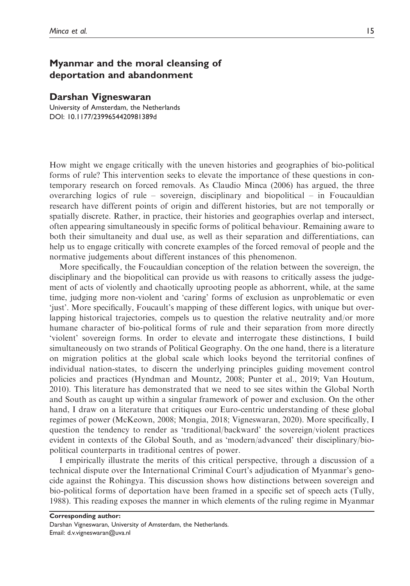## Myanmar and the moral cleansing of deportation and abandonment

#### Darshan Vigneswaran

University of Amsterdam, the Netherlands DOI: 10.1177/2399654420981389d

How might we engage critically with the uneven histories and geographies of bio-political forms of rule? This intervention seeks to elevate the importance of these questions in contemporary research on forced removals. As Claudio Minca (2006) has argued, the three overarching logics of rule – sovereign, disciplinary and biopolitical – in Foucauldian research have different points of origin and different histories, but are not temporally or spatially discrete. Rather, in practice, their histories and geographies overlap and intersect, often appearing simultaneously in specific forms of political behaviour. Remaining aware to both their simultaneity and dual use, as well as their separation and differentiations, can help us to engage critically with concrete examples of the forced removal of people and the normative judgements about different instances of this phenomenon.

More specifically, the Foucauldian conception of the relation between the sovereign, the disciplinary and the biopolitical can provide us with reasons to critically assess the judgement of acts of violently and chaotically uprooting people as abhorrent, while, at the same time, judging more non-violent and 'caring' forms of exclusion as unproblematic or even 'just'. More specifically, Foucault's mapping of these different logics, with unique but overlapping historical trajectories, compels us to question the relative neutrality and/or more humane character of bio-political forms of rule and their separation from more directly 'violent' sovereign forms. In order to elevate and interrogate these distinctions, I build simultaneously on two strands of Political Geography. On the one hand, there is a literature on migration politics at the global scale which looks beyond the territorial confines of individual nation-states, to discern the underlying principles guiding movement control policies and practices (Hyndman and Mountz, 2008; Punter et al., 2019; Van Houtum, 2010). This literature has demonstrated that we need to see sites within the Global North and South as caught up within a singular framework of power and exclusion. On the other hand, I draw on a literature that critiques our Euro-centric understanding of these global regimes of power (McKeown, 2008; Mongia, 2018; Vigneswaran, 2020). More specifically, I question the tendency to render as 'traditional/backward' the sovereign/violent practices evident in contexts of the Global South, and as 'modern/advanced' their disciplinary/biopolitical counterparts in traditional centres of power.

I empirically illustrate the merits of this critical perspective, through a discussion of a technical dispute over the International Criminal Court's adjudication of Myanmar's genocide against the Rohingya. This discussion shows how distinctions between sovereign and bio-political forms of deportation have been framed in a specific set of speech acts (Tully, 1988). This reading exposes the manner in which elements of the ruling regime in Myanmar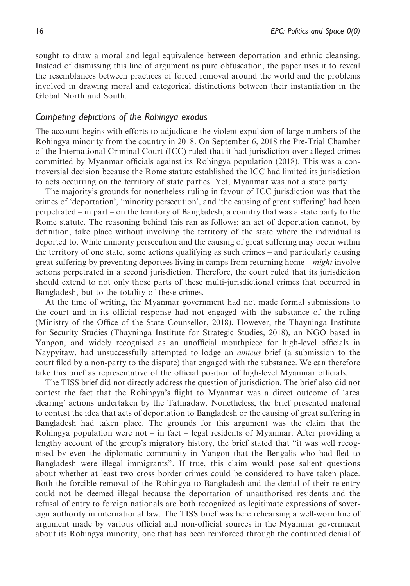sought to draw a moral and legal equivalence between deportation and ethnic cleansing. Instead of dismissing this line of argument as pure obfuscation, the paper uses it to reveal the resemblances between practices of forced removal around the world and the problems involved in drawing moral and categorical distinctions between their instantiation in the Global North and South.

#### Competing depictions of the Rohingya exodus

The account begins with efforts to adjudicate the violent expulsion of large numbers of the Rohingya minority from the country in 2018. On September 6, 2018 the Pre-Trial Chamber of the International Criminal Court (ICC) ruled that it had jurisdiction over alleged crimes committed by Myanmar officials against its Rohingya population (2018). This was a controversial decision because the Rome statute established the ICC had limited its jurisdiction to acts occurring on the territory of state parties. Yet, Myanmar was not a state party.

The majority's grounds for nonetheless ruling in favour of ICC jurisdiction was that the crimes of 'deportation', 'minority persecution', and 'the causing of great suffering' had been perpetrated – in part – on the territory of Bangladesh, a country that was a state party to the Rome statute. The reasoning behind this ran as follows: an act of deportation cannot, by definition, take place without involving the territory of the state where the individual is deported to. While minority persecution and the causing of great suffering may occur within the territory of one state, some actions qualifying as such crimes – and particularly causing great suffering by preventing deportees living in camps from returning home – *might* involve actions perpetrated in a second jurisdiction. Therefore, the court ruled that its jurisdiction should extend to not only those parts of these multi-jurisdictional crimes that occurred in Bangladesh, but to the totality of these crimes.

At the time of writing, the Myanmar government had not made formal submissions to the court and in its official response had not engaged with the substance of the ruling (Ministry of the Office of the State Counsellor, 2018). However, the Thayninga Institute for Security Studies (Thayninga Institute for Strategic Studies, 2018), an NGO based in Yangon, and widely recognised as an unofficial mouthpiece for high-level officials in Naypyitaw, had unsuccessfully attempted to lodge an amicus brief (a submission to the court filed by a non-party to the dispute) that engaged with the substance. We can therefore take this brief as representative of the official position of high-level Myanmar officials.

The TISS brief did not directly address the question of jurisdiction. The brief also did not contest the fact that the Rohingya's flight to Myanmar was a direct outcome of 'area clearing' actions undertaken by the Tatmadaw. Nonetheless, the brief presented material to contest the idea that acts of deportation to Bangladesh or the causing of great suffering in Bangladesh had taken place. The grounds for this argument was the claim that the Rohingya population were not – in fact – legal residents of Myanmar. After providing a lengthy account of the group's migratory history, the brief stated that "it was well recognised by even the diplomatic community in Yangon that the Bengalis who had fled to Bangladesh were illegal immigrants". If true, this claim would pose salient questions about whether at least two cross border crimes could be considered to have taken place. Both the forcible removal of the Rohingya to Bangladesh and the denial of their re-entry could not be deemed illegal because the deportation of unauthorised residents and the refusal of entry to foreign nationals are both recognized as legitimate expressions of sovereign authority in international law. The TISS brief was here rehearsing a well-worn line of argument made by various official and non-official sources in the Myanmar government about its Rohingya minority, one that has been reinforced through the continued denial of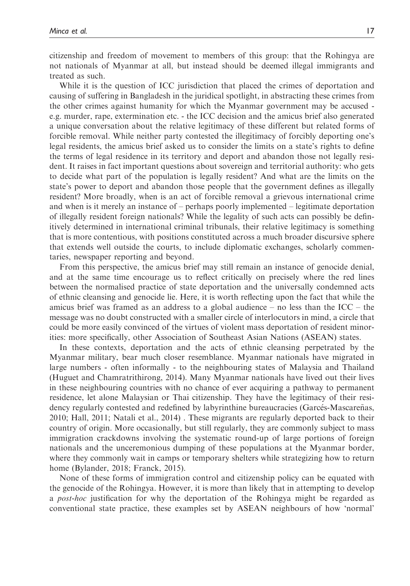citizenship and freedom of movement to members of this group: that the Rohingya are not nationals of Myanmar at all, but instead should be deemed illegal immigrants and treated as such.

While it is the question of ICC jurisdiction that placed the crimes of deportation and causing of suffering in Bangladesh in the juridical spotlight, in abstracting these crimes from the other crimes against humanity for which the Myanmar government may be accused e.g. murder, rape, extermination etc. - the ICC decision and the amicus brief also generated a unique conversation about the relative legitimacy of these different but related forms of forcible removal. While neither party contested the illegitimacy of forcibly deporting one's legal residents, the amicus brief asked us to consider the limits on a state's rights to define the terms of legal residence in its territory and deport and abandon those not legally resident. It raises in fact important questions about sovereign and territorial authority: who gets to decide what part of the population is legally resident? And what are the limits on the state's power to deport and abandon those people that the government defines as illegally resident? More broadly, when is an act of forcible removal a grievous international crime and when is it merely an instance of – perhaps poorly implemented – legitimate deportation of illegally resident foreign nationals? While the legality of such acts can possibly be definitively determined in international criminal tribunals, their relative legitimacy is something that is more contentious, with positions constituted across a much broader discursive sphere that extends well outside the courts, to include diplomatic exchanges, scholarly commentaries, newspaper reporting and beyond.

From this perspective, the amicus brief may still remain an instance of genocide denial, and at the same time encourage us to reflect critically on precisely where the red lines between the normalised practice of state deportation and the universally condemned acts of ethnic cleansing and genocide lie. Here, it is worth reflecting upon the fact that while the amicus brief was framed as an address to a global audience – no less than the  $ICC -$  the message was no doubt constructed with a smaller circle of interlocutors in mind, a circle that could be more easily convinced of the virtues of violent mass deportation of resident minorities: more specifically, other Association of Southeast Asian Nations (ASEAN) states.

In these contexts, deportation and the acts of ethnic cleansing perpetrated by the Myanmar military, bear much closer resemblance. Myanmar nationals have migrated in large numbers - often informally - to the neighbouring states of Malaysia and Thailand (Huguet and Chamratrithirong, 2014). Many Myanmar nationals have lived out their lives in these neighbouring countries with no chance of ever acquiring a pathway to permanent residence, let alone Malaysian or Thai citizenship. They have the legitimacy of their residency regularly contested and redefined by labyrinthine bureaucracies (Garcés-Mascareñas, 2010; Hall, 2011; Natali et al., 2014) . These migrants are regularly deported back to their country of origin. More occasionally, but still regularly, they are commonly subject to mass immigration crackdowns involving the systematic round-up of large portions of foreign nationals and the unceremonious dumping of these populations at the Myanmar border, where they commonly wait in camps or temporary shelters while strategizing how to return home (Bylander, 2018; Franck, 2015).

None of these forms of immigration control and citizenship policy can be equated with the genocide of the Rohingya. However, it is more than likely that in attempting to develop a post-hoc justification for why the deportation of the Rohingya might be regarded as conventional state practice, these examples set by ASEAN neighbours of how 'normal'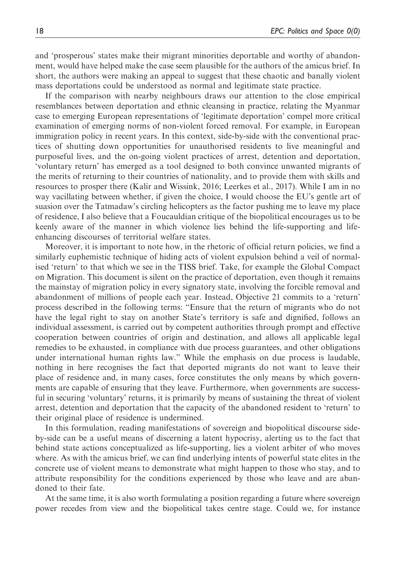and 'prosperous' states make their migrant minorities deportable and worthy of abandonment, would have helped make the case seem plausible for the authors of the amicus brief. In short, the authors were making an appeal to suggest that these chaotic and banally violent mass deportations could be understood as normal and legitimate state practice.

If the comparison with nearby neighbours draws our attention to the close empirical resemblances between deportation and ethnic cleansing in practice, relating the Myanmar case to emerging European representations of 'legitimate deportation' compel more critical examination of emerging norms of non-violent forced removal. For example, in European immigration policy in recent years. In this context, side-by-side with the conventional practices of shutting down opportunities for unauthorised residents to live meaningful and purposeful lives, and the on-going violent practices of arrest, detention and deportation, 'voluntary return' has emerged as a tool designed to both convince unwanted migrants of the merits of returning to their countries of nationality, and to provide them with skills and resources to prosper there (Kalir and Wissink, 2016; Leerkes et al., 2017). While I am in no way vacillating between whether, if given the choice, I would choose the EU's gentle art of suasion over the Tatmadaw's circling helicopters as the factor pushing me to leave my place of residence, I also believe that a Foucauldian critique of the biopolitical encourages us to be keenly aware of the manner in which violence lies behind the life-supporting and lifeenhancing discourses of territorial welfare states.

Moreover, it is important to note how, in the rhetoric of official return policies, we find a similarly euphemistic technique of hiding acts of violent expulsion behind a veil of normalised 'return' to that which we see in the TISS brief. Take, for example the Global Compact on Migration. This document is silent on the practice of deportation, even though it remains the mainstay of migration policy in every signatory state, involving the forcible removal and abandonment of millions of people each year. Instead, Objective 21 commits to a 'return' process described in the following terms: "Ensure that the return of migrants who do not have the legal right to stay on another State's territory is safe and dignified, follows an individual assessment, is carried out by competent authorities through prompt and effective cooperation between countries of origin and destination, and allows all applicable legal remedies to be exhausted, in compliance with due process guarantees, and other obligations under international human rights law." While the emphasis on due process is laudable, nothing in here recognises the fact that deported migrants do not want to leave their place of residence and, in many cases, force constitutes the only means by which governments are capable of ensuring that they leave. Furthermore, when governments are successful in securing 'voluntary' returns, it is primarily by means of sustaining the threat of violent arrest, detention and deportation that the capacity of the abandoned resident to 'return' to their original place of residence is undermined.

In this formulation, reading manifestations of sovereign and biopolitical discourse sideby-side can be a useful means of discerning a latent hypocrisy, alerting us to the fact that behind state actions conceptualized as life-supporting, lies a violent arbiter of who moves where. As with the amicus brief, we can find underlying intents of powerful state elites in the concrete use of violent means to demonstrate what might happen to those who stay, and to attribute responsibility for the conditions experienced by those who leave and are abandoned to their fate.

At the same time, it is also worth formulating a position regarding a future where sovereign power recedes from view and the biopolitical takes centre stage. Could we, for instance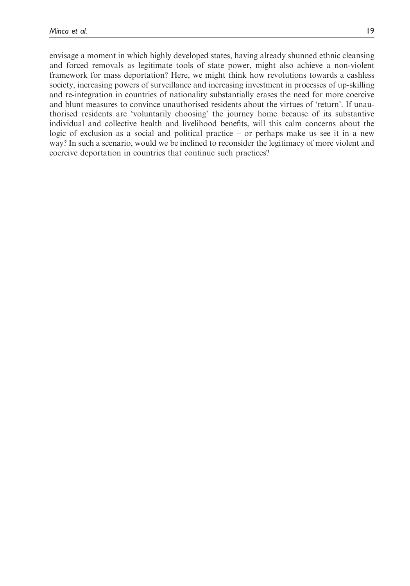envisage a moment in which highly developed states, having already shunned ethnic cleansing and forced removals as legitimate tools of state power, might also achieve a non-violent framework for mass deportation? Here, we might think how revolutions towards a cashless society, increasing powers of surveillance and increasing investment in processes of up-skilling and re-integration in countries of nationality substantially erases the need for more coercive and blunt measures to convince unauthorised residents about the virtues of 'return'. If unauthorised residents are 'voluntarily choosing' the journey home because of its substantive individual and collective health and livelihood benefits, will this calm concerns about the logic of exclusion as a social and political practice – or perhaps make us see it in a new way? In such a scenario, would we be inclined to reconsider the legitimacy of more violent and coercive deportation in countries that continue such practices?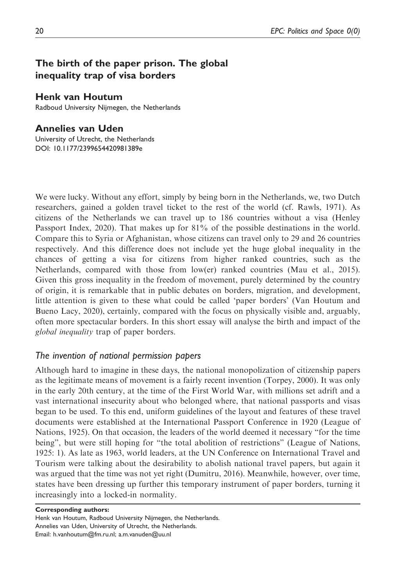## The birth of the paper prison. The global inequality trap of visa borders

#### Henk van Houtum

Radboud University Nijmegen, the Netherlands

## Annelies van Uden

University of Utrecht, the Netherlands DOI: 10.1177/2399654420981389e

We were lucky. Without any effort, simply by being born in the Netherlands, we, two Dutch researchers, gained a golden travel ticket to the rest of the world (cf. Rawls, 1971). As citizens of the Netherlands we can travel up to 186 countries without a visa (Henley Passport Index, 2020). That makes up for 81% of the possible destinations in the world. Compare this to Syria or Afghanistan, whose citizens can travel only to 29 and 26 countries respectively. And this difference does not include yet the huge global inequality in the chances of getting a visa for citizens from higher ranked countries, such as the Netherlands, compared with those from low(er) ranked countries (Mau et al., 2015). Given this gross inequality in the freedom of movement, purely determined by the country of origin, it is remarkable that in public debates on borders, migration, and development, little attention is given to these what could be called 'paper borders' (Van Houtum and Bueno Lacy, 2020), certainly, compared with the focus on physically visible and, arguably, often more spectacular borders. In this short essay will analyse the birth and impact of the global inequality trap of paper borders.

## The invention of national permission papers

Although hard to imagine in these days, the national monopolization of citizenship papers as the legitimate means of movement is a fairly recent invention (Torpey, 2000). It was only in the early 20th century, at the time of the First World War, with millions set adrift and a vast international insecurity about who belonged where, that national passports and visas began to be used. To this end, uniform guidelines of the layout and features of these travel documents were established at the International Passport Conference in 1920 (League of Nations, 1925). On that occasion, the leaders of the world deemed it necessary "for the time being", but were still hoping for "the total abolition of restrictions" (League of Nations, 1925: 1). As late as 1963, world leaders, at the UN Conference on International Travel and Tourism were talking about the desirability to abolish national travel papers, but again it was argued that the time was not yet right (Dumitru, 2016). Meanwhile, however, over time, states have been dressing up further this temporary instrument of paper borders, turning it increasingly into a locked-in normality.

Corresponding authors:

Henk van Houtum, Radboud University Nijmegen, the Netherlands. Annelies van Uden, University of Utrecht, the Netherlands. Email: h.vanhoutum@fm.ru.nl; a.m.vanuden@uu.nl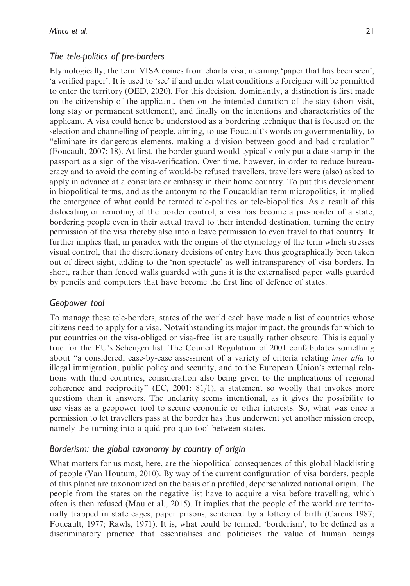## The tele-politics of pre-borders

Etymologically, the term VISA comes from charta visa, meaning 'paper that has been seen', 'a verified paper'. It is used to 'see' if and under what conditions a foreigner will be permitted to enter the territory (OED, 2020). For this decision, dominantly, a distinction is first made on the citizenship of the applicant, then on the intended duration of the stay (short visit, long stay or permanent settlement), and finally on the intentions and characteristics of the applicant. A visa could hence be understood as a bordering technique that is focused on the selection and channelling of people, aiming, to use Foucault's words on governmentality, to "eliminate its dangerous elements, making a division between good and bad circulation" (Foucault, 2007: 18). At first, the border guard would typically only put a date stamp in the passport as a sign of the visa-verification. Over time, however, in order to reduce bureaucracy and to avoid the coming of would-be refused travellers, travellers were (also) asked to apply in advance at a consulate or embassy in their home country. To put this development in biopolitical terms, and as the antonym to the Foucauldian term micropolitics, it implied the emergence of what could be termed tele-politics or tele-biopolitics. As a result of this dislocating or remoting of the border control, a visa has become a pre-border of a state, bordering people even in their actual travel to their intended destination, turning the entry permission of the visa thereby also into a leave permission to even travel to that country. It further implies that, in paradox with the origins of the etymology of the term which stresses visual control, that the discretionary decisions of entry have thus geographically been taken out of direct sight, adding to the 'non-spectacle' as well intransparency of visa borders. In short, rather than fenced walls guarded with guns it is the externalised paper walls guarded by pencils and computers that have become the first line of defence of states.

## Geopower tool

To manage these tele-borders, states of the world each have made a list of countries whose citizens need to apply for a visa. Notwithstanding its major impact, the grounds for which to put countries on the visa-obliged or visa-free list are usually rather obscure. This is equally true for the EU's Schengen list. The Council Regulation of 2001 confabulates something about "a considered, case-by-case assessment of a variety of criteria relating inter alia to illegal immigration, public policy and security, and to the European Union's external relations with third countries, consideration also being given to the implications of regional coherence and reciprocity" (EC, 2001: 81/1), a statement so woolly that invokes more questions than it answers. The unclarity seems intentional, as it gives the possibility to use visas as a geopower tool to secure economic or other interests. So, what was once a permission to let travellers pass at the border has thus underwent yet another mission creep, namely the turning into a quid pro quo tool between states.

## Borderism: the global taxonomy by country of origin

What matters for us most, here, are the biopolitical consequences of this global blacklisting of people (Van Houtum, 2010). By way of the current configuration of visa borders, people of this planet are taxonomized on the basis of a profiled, depersonalized national origin. The people from the states on the negative list have to acquire a visa before travelling, which often is then refused (Mau et al., 2015). It implies that the people of the world are territorially trapped in state cages, paper prisons, sentenced by a lottery of birth (Carens 1987; Foucault, 1977; Rawls, 1971). It is, what could be termed, 'borderism', to be defined as a discriminatory practice that essentialises and politicises the value of human beings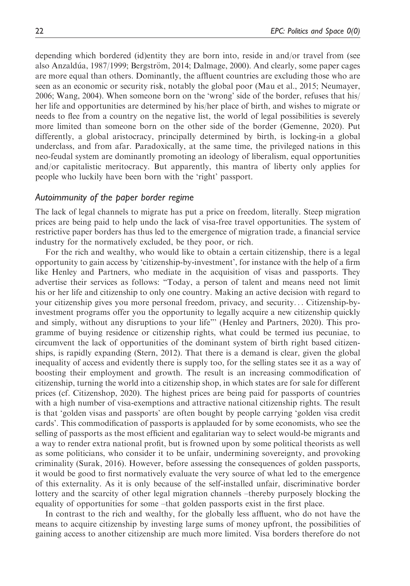depending which bordered (id)entity they are born into, reside in and/or travel from (see also Anzaldúa, 1987/1999; Bergström, 2014; Dalmage, 2000). And clearly, some paper cages are more equal than others. Dominantly, the affluent countries are excluding those who are seen as an economic or security risk, notably the global poor (Mau et al., 2015; Neumayer, 2006; Wang, 2004). When someone born on the 'wrong' side of the border, refuses that his/ her life and opportunities are determined by his/her place of birth, and wishes to migrate or needs to flee from a country on the negative list, the world of legal possibilities is severely more limited than someone born on the other side of the border (Gemenne, 2020). Put differently, a global aristocracy, principally determined by birth, is locking-in a global underclass, and from afar. Paradoxically, at the same time, the privileged nations in this neo-feudal system are dominantly promoting an ideology of liberalism, equal opportunities and/or capitalistic meritocracy. But apparently, this mantra of liberty only applies for people who luckily have been born with the 'right' passport.

#### Autoimmunity of the paper border regime

The lack of legal channels to migrate has put a price on freedom, literally. Steep migration prices are being paid to help undo the lack of visa-free travel opportunities. The system of restrictive paper borders has thus led to the emergence of migration trade, a financial service industry for the normatively excluded, be they poor, or rich.

For the rich and wealthy, who would like to obtain a certain citizenship, there is a legal opportunity to gain access by 'citizenship-by-investment', for instance with the help of a firm like Henley and Partners, who mediate in the acquisition of visas and passports. They advertise their services as follows: "Today, a person of talent and means need not limit his or her life and citizenship to only one country. Making an active decision with regard to your citizenship gives you more personal freedom, privacy, and security... Citizenship-byinvestment programs offer you the opportunity to legally acquire a new citizenship quickly and simply, without any disruptions to your life"' (Henley and Partners, 2020). This programme of buying residence or citizenship rights, what could be termed ius pecuniae, to circumvent the lack of opportunities of the dominant system of birth right based citizenships, is rapidly expanding (Stern, 2012). That there is a demand is clear, given the global inequality of access and evidently there is supply too, for the selling states see it as a way of boosting their employment and growth. The result is an increasing commodification of citizenship, turning the world into a citizenship shop, in which states are for sale for different prices (cf. Citizenshop, 2020). The highest prices are being paid for passports of countries with a high number of visa-exemptions and attractive national citizenship rights. The result is that 'golden visas and passports' are often bought by people carrying 'golden visa credit cards'. This commodification of passports is applauded for by some economists, who see the selling of passports as the most efficient and egalitarian way to select would-be migrants and a way to render extra national profit, but is frowned upon by some political theorists as well as some politicians, who consider it to be unfair, undermining sovereignty, and provoking criminality (Surak, 2016). However, before assessing the consequences of golden passports, it would be good to first normatively evaluate the very source of what led to the emergence of this externality. As it is only because of the self-installed unfair, discriminative border lottery and the scarcity of other legal migration channels –thereby purposely blocking the equality of opportunities for some –that golden passports exist in the first place.

In contrast to the rich and wealthy, for the globally less affluent, who do not have the means to acquire citizenship by investing large sums of money upfront, the possibilities of gaining access to another citizenship are much more limited. Visa borders therefore do not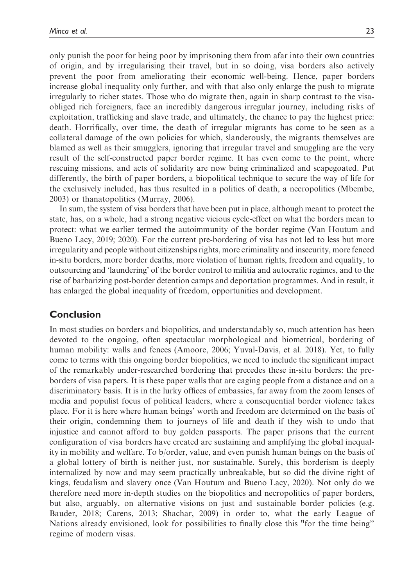only punish the poor for being poor by imprisoning them from afar into their own countries of origin, and by irregularising their travel, but in so doing, visa borders also actively prevent the poor from ameliorating their economic well-being. Hence, paper borders increase global inequality only further, and with that also only enlarge the push to migrate irregularly to richer states. Those who do migrate then, again in sharp contrast to the visaobliged rich foreigners, face an incredibly dangerous irregular journey, including risks of exploitation, trafficking and slave trade, and ultimately, the chance to pay the highest price: death. Horrifically, over time, the death of irregular migrants has come to be seen as a collateral damage of the own policies for which, slanderously, the migrants themselves are blamed as well as their smugglers, ignoring that irregular travel and smuggling are the very result of the self-constructed paper border regime. It has even come to the point, where rescuing missions, and acts of solidarity are now being criminalized and scapegoated. Put differently, the birth of paper borders, a biopolitical technique to secure the way of life for the exclusively included, has thus resulted in a politics of death, a necropolitics (Mbembe, 2003) or thanatopolitics (Murray, 2006).

In sum, the system of visa borders that have been put in place, although meant to protect the state, has, on a whole, had a strong negative vicious cycle-effect on what the borders mean to protect: what we earlier termed the autoimmunity of the border regime (Van Houtum and Bueno Lacy, 2019; 2020). For the current pre-bordering of visa has not led to less but more irregularity and people without citizenships rights, more criminality and insecurity, more fenced in-situ borders, more border deaths, more violation of human rights, freedom and equality, to outsourcing and 'laundering' of the border control to militia and autocratic regimes, and to the rise of barbarizing post-border detention camps and deportation programmes. And in result, it has enlarged the global inequality of freedom, opportunities and development.

## Conclusion

In most studies on borders and biopolitics, and understandably so, much attention has been devoted to the ongoing, often spectacular morphological and biometrical, bordering of human mobility: walls and fences (Amoore, 2006; Yuval-Davis, et al. 2018). Yet, to fully come to terms with this ongoing border biopolitics, we need to include the significant impact of the remarkably under-researched bordering that precedes these in-situ borders: the preborders of visa papers. It is these paper walls that are caging people from a distance and on a discriminatory basis. It is in the lurky offices of embassies, far away from the zoom lenses of media and populist focus of political leaders, where a consequential border violence takes place. For it is here where human beings' worth and freedom are determined on the basis of their origin, condemning them to journeys of life and death if they wish to undo that injustice and cannot afford to buy golden passports. The paper prisons that the current configuration of visa borders have created are sustaining and amplifying the global inequality in mobility and welfare. To b/order, value, and even punish human beings on the basis of a global lottery of birth is neither just, nor sustainable. Surely, this borderism is deeply internalized by now and may seem practically unbreakable, but so did the divine right of kings, feudalism and slavery once (Van Houtum and Bueno Lacy, 2020). Not only do we therefore need more in-depth studies on the biopolitics and necropolitics of paper borders, but also, arguably, on alternative visions on just and sustainable border policies (e.g. Bauder, 2018; Carens, 2013; Shachar, 2009) in order to, what the early League of Nations already envisioned, look for possibilities to finally close this "for the time being'' regime of modern visas.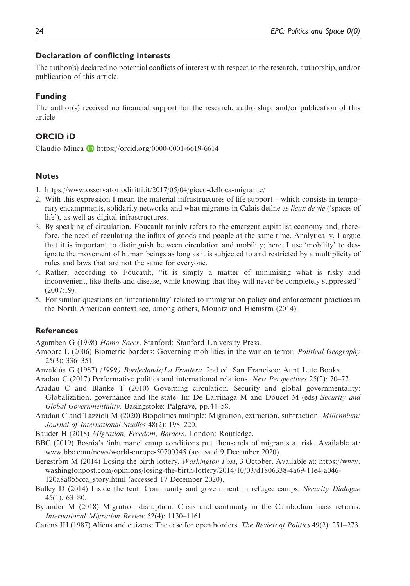#### Declaration of conflicting interests

The author(s) declared no potential conflicts of interest with respect to the research, authorship, and/or publication of this article.

#### Funding

The author(s) received no financial support for the research, authorship, and/or publication of this article.

## ORCID iD

Claudio Minca  $\blacksquare$  <https://orcid.org/0000-0001-6619-6614>

#### Notes

- 1.<https://www.osservatoriodiritti.it/2017/05/04/gioco-delloca-migrante/>
- 2. With this expression I mean the material infrastructures of life support which consists in temporary encampments, solidarity networks and what migrants in Calais define as *lieux de vie* ('spaces of life'), as well as digital infrastructures.
- 3. By speaking of circulation, Foucault mainly refers to the emergent capitalist economy and, therefore, the need of regulating the influx of goods and people at the same time. Analytically, I argue that it is important to distinguish between circulation and mobility; here, I use 'mobility' to designate the movement of human beings as long as it is subjected to and restricted by a multiplicity of rules and laws that are not the same for everyone.
- 4. Rather, according to Foucault, "it is simply a matter of minimising what is risky and inconvenient, like thefts and disease, while knowing that they will never be completely suppressed" (2007:19).
- 5. For similar questions on 'intentionality' related to immigration policy and enforcement practices in the North American context see, among others, Mountz and Hiemstra (2014).

#### References

Agamben G (1998) Homo Sacer. Stanford: Stanford University Press.

- Amoore L (2006) Biometric borders: Governing mobilities in the war on terror. *Political Geography* 25(3): 336–351.
- Anzaldúa G (1987) / 1999) Borderlands/La Frontera. 2nd ed. San Francisco: Aunt Lute Books.

Aradau C (2017) Performative politics and international relations. New Perspectives 25(2): 70–77.

- Aradau C and Blanke T (2010) Governing circulation. Security and global governmentality: Globalization, governance and the state. In: De Larrinaga M and Doucet M (eds) Security and Global Governmentality. Basingstoke: Palgrave, pp.44–58.
- Aradau C and Tazzioli M (2020) Biopolitics multiple: Migration, extraction, subtraction. Millennium: Journal of International Studies 48(2): 198–220.
- Bauder H (2018) Migration, Freedom, Borders. London: Routledge.
- BBC (2019) Bosnia's 'inhumane' camp conditions put thousands of migrants at risk. Available at: [www.bbc.com/news/world-europe-50700345](http://www.bbc.com/news/world-europe-50700345) (accessed 9 December 2020).
- Bergström M (2014) Losing the birth lottery, *Washington Post*, 3 October. Available at: https://www. washingtonpost.com/opinions/losing-the-birth-lottery/2014/10/03/d1806338-4a69-11e4-a046- 120a8a855cca\_story.html (accessed 17 December 2020).
- Bulley D (2014) Inside the tent: Community and government in refugee camps. Security Dialogue 45(1): 63–80.
- Bylander M (2018) Migration disruption: Crisis and continuity in the Cambodian mass returns. International Migration Review 52(4): 1130–1161.
- Carens JH (1987) Aliens and citizens: The case for open borders. The Review of Politics 49(2): 251–273.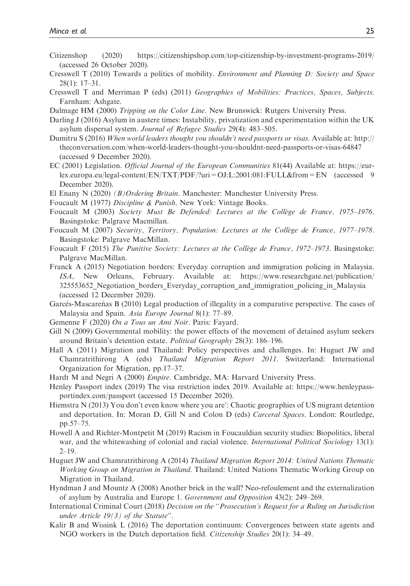- Citizenshop (2020)<https://citizenshipshop.com/top-citizenship-by-investment-programs-2019/> (accessed 26 October 2020).
- Cresswell T (2010) Towards a politics of mobility. Environment and Planning D: Society and Space 28(1): 17–31.
- Cresswell T and Merriman P (eds) (2011) Geographies of Mobilities: Practices, Spaces, Subjects. Farnham: Ashgate.
- Dalmage HM (2000) *Tripping on the Color Line*. New Brunswick: Rutgers University Press.
- Darling J (2016) Asylum in austere times: Instability, privatization and experimentation within the UK asylum dispersal system. Journal of Refugee Studies 29(4): 483–505.
- Dumitru S (2016) When world leaders thought you shouldn't need passports or visas. Available at: [http://](http://theconversation.com/when-world-leaders-thought-you-shouldnt-need-passports-or-visas-64847) [theconversation.com/when-world-leaders-thought-you-shouldnt-need-passports-or-visas-64847](http://theconversation.com/when-world-leaders-thought-you-shouldnt-need-passports-or-visas-64847) (accessed 9 December 2020).
- EC (2001) Legislation. Official Journal of the European Communities 81(44) Available at: [https://eur](https://eur-lex.europa.eu/legal-content/EN/TXT/PDF/?uri=OJ:L:2001:081:FULL&from=EN)[lex.europa.eu/legal-content/EN/TXT/PDF/?uri=OJ:L:2001:081:FULL&from=EN](https://eur-lex.europa.eu/legal-content/EN/TXT/PDF/?uri=OJ:L:2001:081:FULL&from=EN) (accessed 9 December 2020).
- El Enany N (2020) (B)Ordering Britain. Manchester: Manchester University Press.
- Foucault M (1977) Discipline & Punish. New York: Vintage Books.
- Foucault M (2003) Society Must Be Defended: Lectures at the Collège de France, 1975–1976. Basingstoke: Palgrave Macmillan.
- Foucault M (2007) Security, Territory, Population: Lectures at the Collège de France, 1977–1978. Basingstoke: Palgrave MacMillan.
- Foucault F (2015) The Punitive Society: Lectures at the Collège de France, 1972–1973. Basingstoke: Palgrave MacMillan.
- Franck A (2015) Negotiation borders: Everyday corruption and immigration policing in Malaysia. ISA, New Orleans, February. Available at: https://www.researchgate.net/publication/ 325553652\_Negotiation\_borders\_Everyday\_corruption\_and\_immigration\_policing\_in\_Malaysia (accessed 12 December 2020).
- Garcés-Mascareñas B (2010) Legal production of illegality in a comparative perspective. The cases of Malaysia and Spain. Asia Europe Journal 8(1): 77–89.
- Gemenne F (2020) On a Tous un Ami Noir. Paris: Fayard.
- Gill N (2009) Governmental mobility: the power effects of the movement of detained asylum seekers around Britain's detention estate. Political Geography 28(3): 186–196.
- Hall A (2011) Migration and Thailand: Policy perspectives and challenges. In: Huguet JW and Chamratrithirong A (eds) Thailand Migration Report 2011. Switzerland: International Organization for Migration, pp.17–37.
- Hardt M and Negri A (2000) Empire. Cambridge, MA: Harvard University Press.
- Henley Passport index (2019) The visa restriction index 2019. Available at: https://www.henleypassportindex.com/passport (accessed 15 December 2020).
- Hiemstra N (2013) You don't even know where you are': Chaotic geographies of US migrant detention and deportation. In: Moran D, Gill N and Colon D (eds) Carceral Spaces. London: Routledge, pp.57–75.
- Howell A and Richter-Montpetit M (2019) Racism in Foucauldian security studies: Biopolitics, liberal war, and the whitewashing of colonial and racial violence. International Political Sociology 13(1):  $2-19.$
- Huguet JW and Chamratrithirong A (2014) Thailand Migration Report 2014: United Nations Thematic Working Group on Migration in Thailand. Thailand: United Nations Thematic Working Group on Migration in Thailand.
- Hyndman J and Mountz A (2008) Another brick in the wall? Neo-refoulement and the externalization of asylum by Australia and Europe 1. Government and Opposition 43(2): 249–269.
- International Criminal Court (2018) Decision on the "Prosecution's Request for a Ruling on Jurisdiction under Article  $19(3)$  of the Statute".
- Kalir B and Wissink L (2016) The deportation continuum: Convergences between state agents and NGO workers in the Dutch deportation field. Citizenship Studies 20(1): 34–49.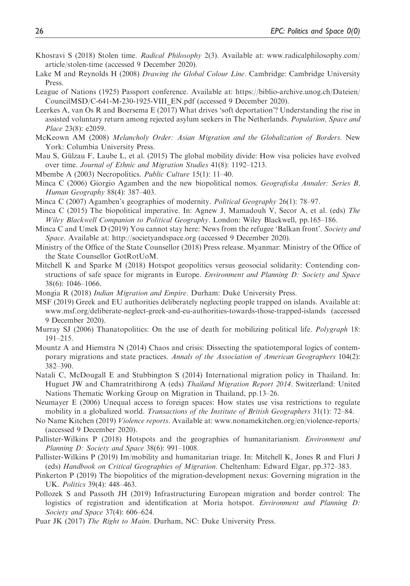- Khosravi S (2018) Stolen time. Radical Philosophy 2(3). Available at: [www.radicalphilosophy.com/](http://www.radicalphilosophy.com/article/stolen-time) [article/stolen-time](http://www.radicalphilosophy.com/article/stolen-time) (accessed 9 December 2020).
- Lake M and Reynolds H (2008) Drawing the Global Colour Line. Cambridge: Cambridge University Press.
- League of Nations (1925) Passport conference. Available at: [https://biblio-archive.unog.ch/Dateien/](https://biblio-archive.unog.ch/Dateien/CouncilMSD/C-641-M-230-1925-VIII_EN.pdf) [CouncilMSD/C-641-M-230-1925-VIII\\_EN.pdf](https://biblio-archive.unog.ch/Dateien/CouncilMSD/C-641-M-230-1925-VIII_EN.pdf) (accessed 9 December 2020).
- Leerkes A, van Os R and Boersema E (2017) What drives 'soft deportation'? Understanding the rise in assisted voluntary return among rejected asylum seekers in The Netherlands. Population, Space and Place 23(8): e2059.
- McKeown AM (2008) Melancholy Order: Asian Migration and the Globalization of Borders. New York: Columbia University Press.
- Mau S, Gülzau F, Laube L, et al. (2015) The global mobility divide: How visa policies have evolved over time. Journal of Ethnic and Migration Studies 41(8): 1192–1213.
- Mbembe A (2003) Necropolitics. Public Culture 15(1): 11–40.
- Minca C (2006) Giorgio Agamben and the new biopolitical nomos. Geografiska Annaler: Series B, Human Geography 88(4): 387–403.
- Minca C (2007) Agamben's geographies of modernity. Political Geography 26(1): 78–97.
- Minca C (2015) The biopolitical imperative. In: Agnew J, Mamadouh V, Secor A, et al. (eds) The Wiley Blackwell Companion to Political Geography. London: Wiley Blackwell, pp.165–186.
- Minca C and Umek D (2019) You cannot stay here: News from the refugee 'Balkan front'. Society and Space. Available at:<http://societyandspace.org> (accessed 9 December 2020).
- Ministry of the Office of the State Counsellor (2018) Press release. Myanmar: Ministry of the Office of the State Counsellor GotRotUoM.
- Mitchell K and Sparke M (2018) Hotspot geopolitics versus geosocial solidarity: Contending constructions of safe space for migrants in Europe. *Environment and Planning D: Society and Space* 38(6): 1046–1066.
- Mongia R (2018) Indian Migration and Empire. Durham: Duke University Press.
- MSF (2019) Greek and EU authorities deliberately neglecting people trapped on islands. Available at: [www.msf.org/deliberate-neglect-greek-and-eu-authorities-towards-those-trapped-islands](http://www.msf.org/deliberate-neglect-greek-and-eu-authorities-towards-those-trapped-islands) (accessed 9 December 2020).
- Murray SJ (2006) Thanatopolitics: On the use of death for mobilizing political life. Polygraph 18: 191–215.
- Mountz A and Hiemstra N (2014) Chaos and crisis: Dissecting the spatiotemporal logics of contemporary migrations and state practices. Annals of the Association of American Geographers 104(2): 382–390.
- Natali C, McDougall E and Stubbington S (2014) International migration policy in Thailand. In: Huguet JW and Chamratrithirong A (eds) Thailand Migration Report 2014. Switzerland: United Nations Thematic Working Group on Migration in Thailand, pp.13–26.
- Neumayer E (2006) Unequal access to foreign spaces: How states use visa restrictions to regulate mobility in a globalized world. Transactions of the Institute of British Geographers 31(1): 72–84.
- No Name Kitchen (2019) Violence reports. Available at: [www.nonamekitchen.org/en/violence-reports/](http://www.nonamekitchen.org/en/violence-reports/) (accessed 9 December 2020).
- Pallister-Wilkins P (2018) Hotspots and the geographies of humanitarianism. *Environment and* Planning D: Society and Space 38(6): 991–1008.
- Pallister-Wilkins P (2019) Im/mobility and humanitarian triage. In: Mitchell K, Jones R and Fluri J (eds) Handbook on Critical Geographies of Migration. Cheltenham: Edward Elgar, pp.372–383.
- Pinkerton P (2019) The biopolitics of the migration-development nexus: Governing migration in the UK. Politics 39(4): 448–463.
- Pollozek S and Passoth JH (2019) Infrastructuring European migration and border control: The logistics of registration and identification at Moria hotspot. *Environment and Planning D*: Society and Space 37(4): 606–624.
- Puar JK (2017) The Right to Maim. Durham, NC: Duke University Press.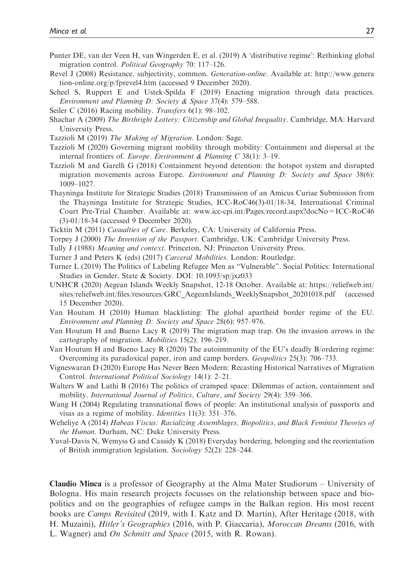- Punter DE, van der Veen H, van Wingerden E, et al. (2019) A 'distributive regime': Rethinking global migration control. Political Geography 70: 117–126.
- Revel J (2008) Resistance, subjectivity, common. Generation-online. Available at: [http://www.genera](http://www.generation-online.org/p/fprevel4.htm) [tion-online.org/p/fprevel4.htm](http://www.generation-online.org/p/fprevel4.htm) (accessed 9 December 2020).
- Scheel S, Ruppert E and Ustek-Spilda F (2019) Enacting migration through data practices. Environment and Planning D: Society & Space 37(4): 579–588.
- Seiler C (2016) Racing mobility. *Transfers* 6(1): 98–102.
- Shachar A (2009) The Birthright Lottery: Citizenship and Global Inequality. Cambridge, MA: Harvard University Press.
- Tazzioli M (2019) The Making of Migration. London: Sage.
- Tazzioli M (2020) Governing migrant mobility through mobility: Containment and dispersal at the internal frontiers of. Europe. Environment & Planning C 38(1): 3–19.
- Tazzioli M and Garelli G (2018) Containment beyond detention: the hotspot system and disrupted migration movements across Europe. Environment and Planning D: Society and Space 38(6): 1009–1027.
- Thayninga Institute for Strategic Studies (2018) Transmission of an Amicus Curiae Submission from the Thayninga Institute for Strategic Studies, ICC-RoC46(3)-01/18-34, International Criminal Court Pre-Trial Chamber. Available at: [www.icc-cpi.int/Pages/record.aspx?docNo=ICC-RoC46](http://www.icc-cpi.int/Pages/record.aspx?docNo=ICC-RoC46(3)-01/18-34) [\(3\)-01/18-34](http://www.icc-cpi.int/Pages/record.aspx?docNo=ICC-RoC46(3)-01/18-34) (accessed 9 December 2020).
- Ticktin M (2011) Casualties of Care. Berkeley, CA: University of California Press.
- Torpey J (2000) The Invention of the Passport. Cambridge, UK: Cambridge University Press.
- Tully J (1988) Meaning and context. Princeton, NJ: Princeton University Press.
- Turner J and Peters K (eds) (2017) Carceral Mobilities. London: Routledge.
- Turner L (2019) The Politics of Labeling Refugee Men as "Vulnerable". Social Politics: International Studies in Gender, State & Society. DOI: 10.1093/sp/jxz033
- UNHCR (2020) Aegean Islands Weekly Snapshot, 12-18 October. Available at: [https://reliefweb.int/](https://reliefweb.int/sites/reliefweb.int/files/resources/GRC_AegeanIslands_WeeklySnapshot_20201018.pdf) [sites/reliefweb.int/files/resources/GRC\\_AegeanIslands\\_WeeklySnapshot\\_20201018.pdf](https://reliefweb.int/sites/reliefweb.int/files/resources/GRC_AegeanIslands_WeeklySnapshot_20201018.pdf) (accessed 15 December 2020).
- Van Houtum H (2010) Human blacklisting: The global apartheid border regime of the EU. Environment and Planning D: Society and Space 28(6): 957–976.
- Van Houtum H and Bueno Lacy R (2019) The migration map trap. On the invasion arrows in the cartography of migration. Mobilities 15(2): 196–219.
- Van Houtum H and Bueno Lacy R (2020) The autoimmunity of the EU's deadly B/ordering regime: Overcoming its paradoxical paper, iron and camp borders. Geopolitics 25(3): 706–733.
- Vigneswaran D (2020) Europe Has Never Been Modern: Recasting Historical Narratives of Migration Control. International Political Sociology 14(1): 2–21.
- Walters W and Luthi B (2016) The politics of cramped space: Dilemmas of action, containment and mobility. International Journal of Politics, Culture, and Society 29(4): 359–366.
- Wang H (2004) Regulating transnational flows of people: An institutional analysis of passports and visas as a regime of mobility. Identities 11(3): 351–376.
- Weheliye A (2014) Habeas Viscus: Racializing Assemblages, Biopolitics, and Black Feminist Theories of the Human. Durham, NC: Duke University Press.
- Yuval-Davis N, Wemyss G and Cassidy K (2018) Everyday bordering, belonging and the reorientation of British immigration legislation. Sociology 52(2): 228–244.

Claudio Minca is a professor of Geography at the Alma Mater Studiorum – University of Bologna. His main research projects focusses on the relationship between space and biopolitics and on the geographies of refugee camps in the Balkan region. His most recent books are Camps Revisited (2019, with I. Katz and D. Martin), After Heritage (2018, with H. Muzaini), Hitler's Geographies (2016, with P. Giaccaria), Moroccan Dreams (2016, with L. Wagner) and On Schmitt and Space (2015, with R. Rowan).